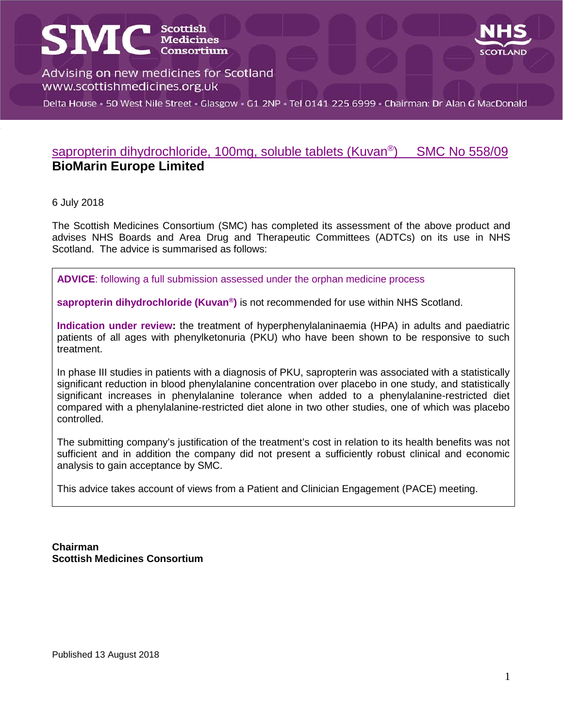# **SMC** SCONTEGIST

Advising on new medicines for Scotland www.scottishmedicines.org.uk

Delta House · 50 West Nile Street · Glasgow · G1 2NP · Tel 0141 225 6999 · Chairman: Dr Alan G MacDonald

### sapropterin dihydrochloride, 100mg, soluble tablets (Kuvan<sup>®</sup>) SMC No 558/09 **BioMarin Europe Limited**

#### 6 July 2018

s

The Scottish Medicines Consortium (SMC) has completed its assessment of the above product and advises NHS Boards and Area Drug and Therapeutic Committees (ADTCs) on its use in NHS Scotland. The advice is summarised as follows:

**ADVICE**: following a full submission assessed under the orphan medicine process

**sapropterin dihydrochloride (Kuvan®)** is not recommended for use within NHS Scotland.

**Indication under review:** the treatment of hyperphenylalaninaemia (HPA) in adults and paediatric patients of all ages with phenylketonuria (PKU) who have been shown to be responsive to such treatment.

In phase III studies in patients with a diagnosis of PKU, sapropterin was associated with a statistically significant reduction in blood phenylalanine concentration over placebo in one study, and statistically significant increases in phenylalanine tolerance when added to a phenylalanine-restricted diet compared with a phenylalanine-restricted diet alone in two other studies, one of which was placebo controlled.

The submitting company's justification of the treatment's cost in relation to its health benefits was not sufficient and in addition the company did not present a sufficiently robust clinical and economic analysis to gain acceptance by SMC.

This advice takes account of views from a Patient and Clinician Engagement (PACE) meeting.

**Chairman Scottish Medicines Consortium**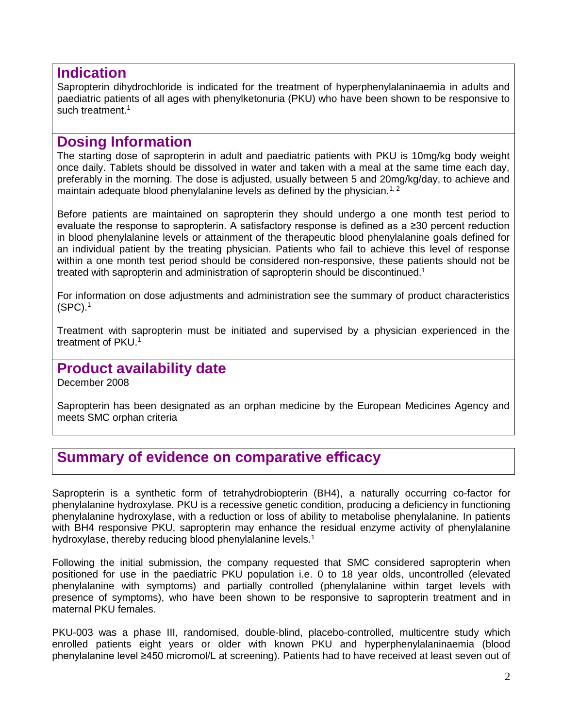## **Indication**

Sapropterin dihydrochloride is indicated for the treatment of hyperphenylalaninaemia in adults and paediatric patients of all ages with phenylketonuria (PKU) who have been shown to be responsive to such treatment.<sup>1</sup>

## **Dosing Information**

The starting dose of sapropterin in adult and paediatric patients with PKU is 10mg/kg body weight once daily. Tablets should be dissolved in water and taken with a meal at the same time each day, preferably in the morning. The dose is adjusted, usually between 5 and 20mg/kg/day, to achieve and maintain adequate blood phenylalanine levels as defined by the physician.<sup>1, 2</sup>

Before patients are maintained on sapropterin they should undergo a one month test period to evaluate the response to sapropterin. A satisfactory response is defined as a ≥30 percent reduction in blood phenylalanine levels or attainment of the therapeutic blood phenylalanine goals defined for an individual patient by the treating physician. Patients who fail to achieve this level of response within a one month test period should be considered non-responsive, these patients should not be treated with sapropterin and administration of sapropterin should be discontinued.<sup>1</sup>

For information on dose adjustments and administration see the summary of product characteristics (SPC). 1

Treatment with sapropterin must be initiated and supervised by a physician experienced in the treatment of PKU. 1

## **Product availability date**

December 2008

Sapropterin has been designated as an orphan medicine by the European Medicines Agency and meets SMC orphan criteria

## **Summary of evidence on comparative efficacy**

Sapropterin is a synthetic form of tetrahydrobiopterin (BH4), a naturally occurring co-factor for phenylalanine hydroxylase. PKU is a recessive genetic condition, producing a deficiency in functioning phenylalanine hydroxylase, with a reduction or loss of ability to metabolise phenylalanine. In patients with BH4 responsive PKU, sapropterin may enhance the residual enzyme activity of phenylalanine hydroxylase, thereby reducing blood phenylalanine levels.<sup>1</sup>

Following the initial submission, the company requested that SMC considered sapropterin when positioned for use in the paediatric PKU population i.e. 0 to 18 year olds, uncontrolled (elevated phenylalanine with symptoms) and partially controlled (phenylalanine within target levels with presence of symptoms), who have been shown to be responsive to sapropterin treatment and in maternal PKU females.

PKU-003 was a phase III, randomised, double-blind, placebo-controlled, multicentre study which enrolled patients eight years or older with known PKU and hyperphenylalaninaemia (blood phenylalanine level ≥450 micromol/L at screening). Patients had to have received at least seven out of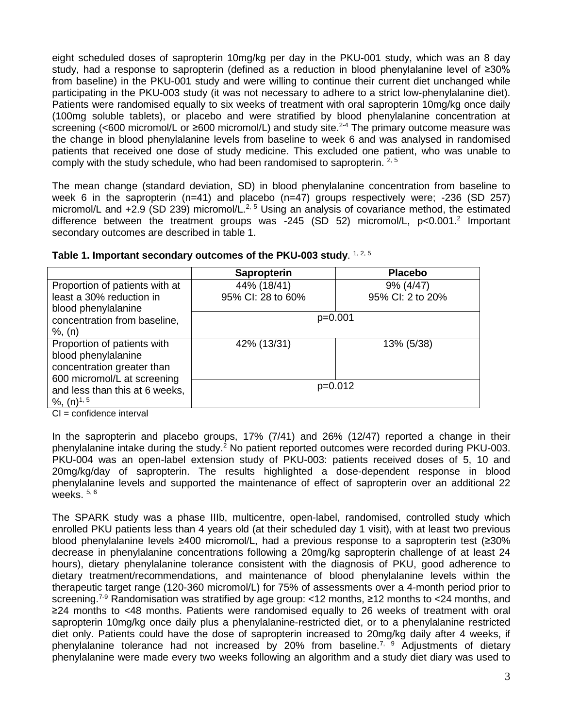eight scheduled doses of sapropterin 10mg/kg per day in the PKU-001 study, which was an 8 day study, had a response to sapropterin (defined as a reduction in blood phenylalanine level of ≥30% from baseline) in the PKU-001 study and were willing to continue their current diet unchanged while participating in the PKU-003 study (it was not necessary to adhere to a strict low-phenylalanine diet). Patients were randomised equally to six weeks of treatment with oral sapropterin 10mg/kg once daily (100mg soluble tablets), or placebo and were stratified by blood phenylalanine concentration at screening (<600 micromol/L or  $\geq 600$  micromol/L) and study site.<sup>2-4</sup> The primary outcome measure was the change in blood phenylalanine levels from baseline to week 6 and was analysed in randomised patients that received one dose of study medicine. This excluded one patient, who was unable to comply with the study schedule, who had been randomised to sapropterin.  $2.5$ 

The mean change (standard deviation, SD) in blood phenylalanine concentration from baseline to week 6 in the sapropterin  $(n=41)$  and placebo  $(n=47)$  groups respectively were; -236 (SD 257) micromol/L and  $+2.9$  (SD 239) micromol/L.<sup>2, 5</sup> Using an analysis of covariance method, the estimated difference between the treatment groups was -245 (SD 52) micromol/L, p<0.001.<sup>2</sup> Important secondary outcomes are described in table 1.

|                                                                                                                 | Sapropterin       | <b>Placebo</b>   |
|-----------------------------------------------------------------------------------------------------------------|-------------------|------------------|
| Proportion of patients with at                                                                                  | 44% (18/41)       | 9% (4/47)        |
| least a 30% reduction in<br>blood phenylalanine                                                                 | 95% CI: 28 to 60% | 95% CI: 2 to 20% |
| concentration from baseline,<br>$%$ , $(n)$                                                                     | $p=0.001$         |                  |
| Proportion of patients with<br>blood phenylalanine<br>concentration greater than<br>600 micromol/L at screening | 42% (13/31)       | 13% (5/38)       |
| and less than this at 6 weeks,<br>%, $(n)^{1, 5}$                                                               | $p=0.012$         |                  |

| Table 1. Important secondary outcomes of the PKU-003 study. 1, 2, 5 |  |  |
|---------------------------------------------------------------------|--|--|
|---------------------------------------------------------------------|--|--|

CI = confidence interval

In the sapropterin and placebo groups, 17% (7/41) and 26% (12/47) reported a change in their phenylalanine intake during the study.<sup>2</sup> No patient reported outcomes were recorded during PKU-003. PKU-004 was an open-label extension study of PKU-003: patients received doses of 5, 10 and 20mg/kg/day of sapropterin. The results highlighted a dose-dependent response in blood phenylalanine levels and supported the maintenance of effect of sapropterin over an additional 22 weeks.  $5, 6$ 

The SPARK study was a phase IIIb, multicentre, open-label, randomised, controlled study which enrolled PKU patients less than 4 years old (at their scheduled day 1 visit), with at least two previous blood phenylalanine levels ≥400 micromol/L, had a previous response to a sapropterin test (≥30% decrease in phenylalanine concentrations following a 20mg/kg sapropterin challenge of at least 24 hours), dietary phenylalanine tolerance consistent with the diagnosis of PKU, good adherence to dietary treatment/recommendations, and maintenance of blood phenylalanine levels within the therapeutic target range (120-360 micromol/L) for 75% of assessments over a 4-month period prior to screening.<sup>7-9</sup> Randomisation was stratified by age group: <12 months, ≥12 months to <24 months, and ≥24 months to <48 months. Patients were randomised equally to 26 weeks of treatment with oral sapropterin 10mg/kg once daily plus a phenylalanine-restricted diet, or to a phenylalanine restricted diet only. Patients could have the dose of sapropterin increased to 20mg/kg daily after 4 weeks, if phenylalanine tolerance had not increased by 20% from baseline.<sup>7, 9</sup> Adjustments of dietary phenylalanine were made every two weeks following an algorithm and a study diet diary was used to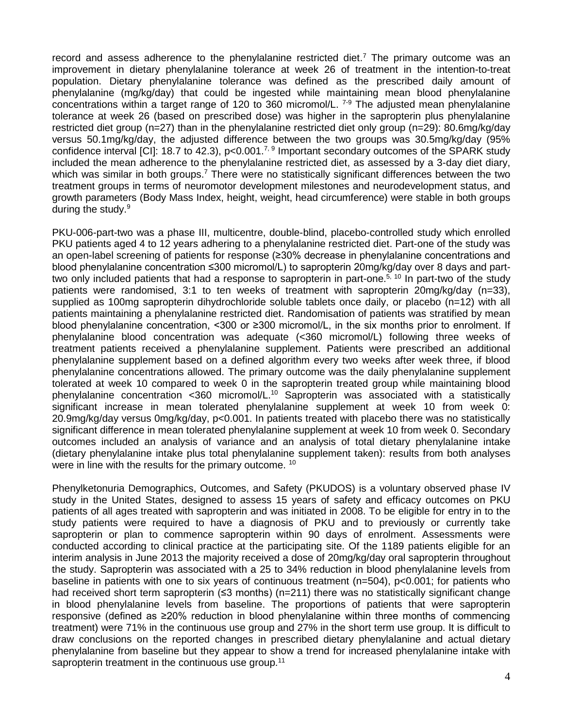record and assess adherence to the phenylalanine restricted diet.<sup>7</sup> The primary outcome was an improvement in dietary phenylalanine tolerance at week 26 of treatment in the intention-to-treat population. Dietary phenylalanine tolerance was defined as the prescribed daily amount of phenylalanine (mg/kg/day) that could be ingested while maintaining mean blood phenylalanine concentrations within a target range of 120 to 360 micromol/L. 7-9 The adjusted mean phenylalanine tolerance at week 26 (based on prescribed dose) was higher in the sapropterin plus phenylalanine restricted diet group (n=27) than in the phenylalanine restricted diet only group (n=29): 80.6mg/kg/day versus 50.1mg/kg/day, the adjusted difference between the two groups was 30.5mg/kg/day (95% confidence interval [CI]: 18.7 to 42.3),  $p<0.001$ .<sup>7, 9</sup> Important secondary outcomes of the SPARK study included the mean adherence to the phenylalanine restricted diet, as assessed by a 3-day diet diary, which was similar in both groups.<sup>7</sup> There were no statistically significant differences between the two treatment groups in terms of neuromotor development milestones and neurodevelopment status, and growth parameters (Body Mass Index, height, weight, head circumference) were stable in both groups during the study. $9$ 

PKU-006-part-two was a phase III, multicentre, double-blind, placebo-controlled study which enrolled PKU patients aged 4 to 12 years adhering to a phenylalanine restricted diet. Part-one of the study was an open-label screening of patients for response (≥30% decrease in phenylalanine concentrations and blood phenylalanine concentration ≤300 micromol/L) to sapropterin 20mg/kg/day over 8 days and parttwo only included patients that had a response to sapropterin in part-one.<sup>5, 10</sup> In part-two of the study patients were randomised, 3:1 to ten weeks of treatment with sapropterin 20mg/kg/day (n=33), supplied as 100mg sapropterin dihydrochloride soluble tablets once daily, or placebo (n=12) with all patients maintaining a phenylalanine restricted diet. Randomisation of patients was stratified by mean blood phenylalanine concentration, <300 or ≥300 micromol/L, in the six months prior to enrolment. If phenylalanine blood concentration was adequate (<360 micromol/L) following three weeks of treatment patients received a phenylalanine supplement. Patients were prescribed an additional phenylalanine supplement based on a defined algorithm every two weeks after week three, if blood phenylalanine concentrations allowed. The primary outcome was the daily phenylalanine supplement tolerated at week 10 compared to week 0 in the sapropterin treated group while maintaining blood phenylalanine concentration <360 micromol/L.10 Sapropterin was associated with a statistically significant increase in mean tolerated phenylalanine supplement at week 10 from week 0: 20.9mg/kg/day versus 0mg/kg/day, p<0.001. In patients treated with placebo there was no statistically significant difference in mean tolerated phenylalanine supplement at week 10 from week 0. Secondary outcomes included an analysis of variance and an analysis of total dietary phenylalanine intake (dietary phenylalanine intake plus total phenylalanine supplement taken): results from both analyses were in line with the results for the primary outcome. <sup>10</sup>

Phenylketonuria Demographics, Outcomes, and Safety (PKUDOS) is a voluntary observed phase IV study in the United States, designed to assess 15 years of safety and efficacy outcomes on PKU patients of all ages treated with sapropterin and was initiated in 2008. To be eligible for entry in to the study patients were required to have a diagnosis of PKU and to previously or currently take sapropterin or plan to commence sapropterin within 90 days of enrolment. Assessments were conducted according to clinical practice at the participating site. Of the 1189 patients eligible for an interim analysis in June 2013 the majority received a dose of 20mg/kg/day oral sapropterin throughout the study. Sapropterin was associated with a 25 to 34% reduction in blood phenylalanine levels from baseline in patients with one to six years of continuous treatment (n=504), p<0.001; for patients who had received short term sapropterin (≤3 months) (n=211) there was no statistically significant change in blood phenylalanine levels from baseline. The proportions of patients that were sapropterin responsive (defined as ≥20% reduction in blood phenylalanine within three months of commencing treatment) were 71% in the continuous use group and 27% in the short term use group. It is difficult to draw conclusions on the reported changes in prescribed dietary phenylalanine and actual dietary phenylalanine from baseline but they appear to show a trend for increased phenylalanine intake with sapropterin treatment in the continuous use group.<sup>11</sup>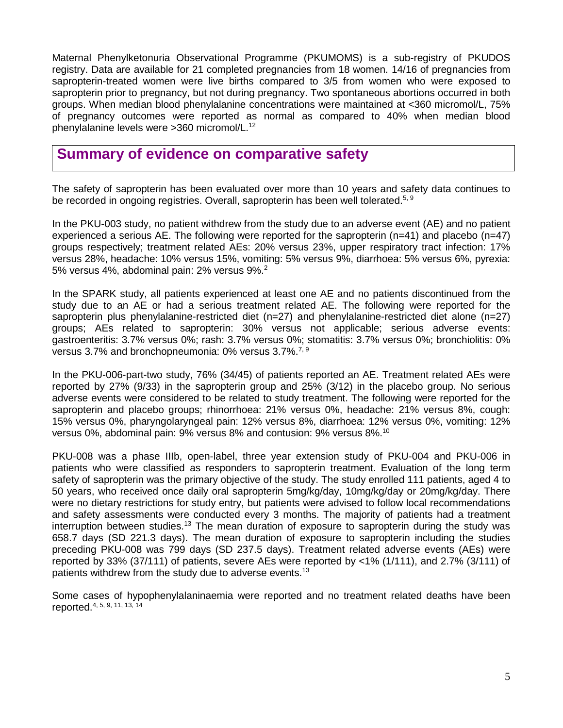Maternal Phenylketonuria Observational Programme (PKUMOMS) is a sub-registry of PKUDOS registry. Data are available for 21 completed pregnancies from 18 women. 14/16 of pregnancies from sapropterin-treated women were live births compared to 3/5 from women who were exposed to sapropterin prior to pregnancy, but not during pregnancy. Two spontaneous abortions occurred in both groups. When median blood phenylalanine concentrations were maintained at <360 micromol/L, 75% of pregnancy outcomes were reported as normal as compared to 40% when median blood phenylalanine levels were >360 micromol/L.12

## **Summary of evidence on comparative safety**

The safety of sapropterin has been evaluated over more than 10 years and safety data continues to be recorded in ongoing registries. Overall, sapropterin has been well tolerated.<sup>5, 9</sup>

In the PKU-003 study, no patient withdrew from the study due to an adverse event (AE) and no patient experienced a serious AE. The following were reported for the sapropterin (n=41) and placebo (n=47) groups respectively; treatment related AEs: 20% versus 23%, upper respiratory tract infection: 17% versus 28%, headache: 10% versus 15%, vomiting: 5% versus 9%, diarrhoea: 5% versus 6%, pyrexia: 5% versus 4%, abdominal pain: 2% versus 9%.2

In the SPARK study, all patients experienced at least one AE and no patients discontinued from the study due to an AE or had a serious treatment related AE. The following were reported for the sapropterin plus phenylalanine-restricted diet (n=27) and phenylalanine-restricted diet alone (n=27) groups; AEs related to sapropterin: 30% versus not applicable; serious adverse events: gastroenteritis: 3.7% versus 0%; rash: 3.7% versus 0%; stomatitis: 3.7% versus 0%; bronchiolitis: 0% versus 3.7% and bronchopneumonia: 0% versus 3.7%.<sup>7, 9</sup>

In the PKU-006-part-two study, 76% (34/45) of patients reported an AE. Treatment related AEs were reported by 27% (9/33) in the sapropterin group and 25% (3/12) in the placebo group. No serious adverse events were considered to be related to study treatment. The following were reported for the sapropterin and placebo groups; rhinorrhoea: 21% versus 0%, headache: 21% versus 8%, cough: 15% versus 0%, pharyngolaryngeal pain: 12% versus 8%, diarrhoea: 12% versus 0%, vomiting: 12% versus 0%, abdominal pain: 9% versus 8% and contusion: 9% versus 8%.10

PKU-008 was a phase IIIb, open-label, three year extension study of PKU-004 and PKU-006 in patients who were classified as responders to sapropterin treatment. Evaluation of the long term safety of sapropterin was the primary objective of the study. The study enrolled 111 patients, aged 4 to 50 years, who received once daily oral sapropterin 5mg/kg/day, 10mg/kg/day or 20mg/kg/day. There were no dietary restrictions for study entry, but patients were advised to follow local recommendations and safety assessments were conducted every 3 months. The majority of patients had a treatment interruption between studies.<sup>13</sup> The mean duration of exposure to sapropterin during the study was 658.7 days (SD 221.3 days). The mean duration of exposure to sapropterin including the studies preceding PKU-008 was 799 days (SD 237.5 days). Treatment related adverse events (AEs) were reported by 33% (37/111) of patients, severe AEs were reported by <1% (1/111), and 2.7% (3/111) of patients withdrew from the study due to adverse events.<sup>13</sup>

Some cases of hypophenylalaninaemia were reported and no treatment related deaths have been reported.4, 5, 9, 11, 13, 14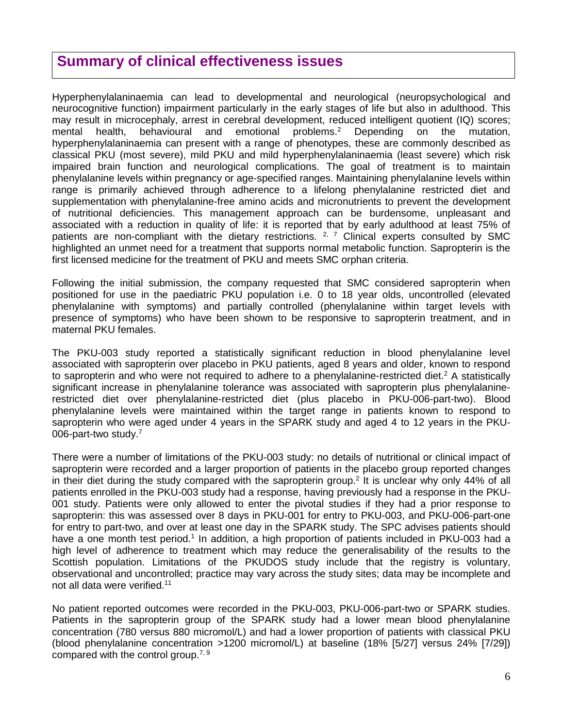## **Summary of clinical effectiveness issues**

Hyperphenylalaninaemia can lead to developmental and neurological (neuropsychological and neurocognitive function) impairment particularly in the early stages of life but also in adulthood. This may result in microcephaly, arrest in cerebral development, reduced intelligent quotient (IQ) scores; mental health, behavioural and emotional problems.<sup>2</sup> Depending on the mutation, hyperphenylalaninaemia can present with a range of phenotypes, these are commonly described as classical PKU (most severe), mild PKU and mild hyperphenylalaninaemia (least severe) which risk impaired brain function and neurological complications. The goal of treatment is to maintain phenylalanine levels within pregnancy or age-specified ranges. Maintaining phenylalanine levels within range is primarily achieved through adherence to a lifelong phenylalanine restricted diet and supplementation with phenylalanine-free amino acids and micronutrients to prevent the development of nutritional deficiencies. This management approach can be burdensome, unpleasant and associated with a reduction in quality of life: it is reported that by early adulthood at least 75% of patients are non-compliant with the dietary restrictions.  $2, 7$  Clinical experts consulted by SMC highlighted an unmet need for a treatment that supports normal metabolic function. Sapropterin is the first licensed medicine for the treatment of PKU and meets SMC orphan criteria.

Following the initial submission, the company requested that SMC considered sapropterin when positioned for use in the paediatric PKU population i.e. 0 to 18 year olds, uncontrolled (elevated phenylalanine with symptoms) and partially controlled (phenylalanine within target levels with presence of symptoms) who have been shown to be responsive to sapropterin treatment, and in maternal PKU females.

The PKU-003 study reported a statistically significant reduction in blood phenylalanine level associated with sapropterin over placebo in PKU patients, aged 8 years and older, known to respond to sapropterin and who were not required to adhere to a phenylalanine-restricted diet.<sup>2</sup> A statistically significant increase in phenylalanine tolerance was associated with sapropterin plus phenylalaninerestricted diet over phenylalanine-restricted diet (plus placebo in PKU-006-part-two). Blood phenylalanine levels were maintained within the target range in patients known to respond to sapropterin who were aged under 4 years in the SPARK study and aged 4 to 12 years in the PKU-006-part-two study.<sup>7</sup>

There were a number of limitations of the PKU-003 study: no details of nutritional or clinical impact of sapropterin were recorded and a larger proportion of patients in the placebo group reported changes in their diet during the study compared with the sapropterin group.<sup>2</sup> It is unclear why only 44% of all patients enrolled in the PKU-003 study had a response, having previously had a response in the PKU-001 study. Patients were only allowed to enter the pivotal studies if they had a prior response to sapropterin: this was assessed over 8 days in PKU-001 for entry to PKU-003, and PKU-006-part-one for entry to part-two, and over at least one day in the SPARK study. The SPC advises patients should have a one month test period.<sup>1</sup> In addition, a high proportion of patients included in PKU-003 had a high level of adherence to treatment which may reduce the generalisability of the results to the Scottish population. Limitations of the PKUDOS study include that the registry is voluntary, observational and uncontrolled; practice may vary across the study sites; data may be incomplete and not all data were verified.<sup>11</sup>

No patient reported outcomes were recorded in the PKU-003, PKU-006-part-two or SPARK studies. Patients in the sapropterin group of the SPARK study had a lower mean blood phenylalanine concentration (780 versus 880 micromol/L) and had a lower proportion of patients with classical PKU (blood phenylalanine concentration >1200 micromol/L) at baseline (18% [5/27] versus 24% [7/29]) compared with the control group.<sup>7, 9</sup>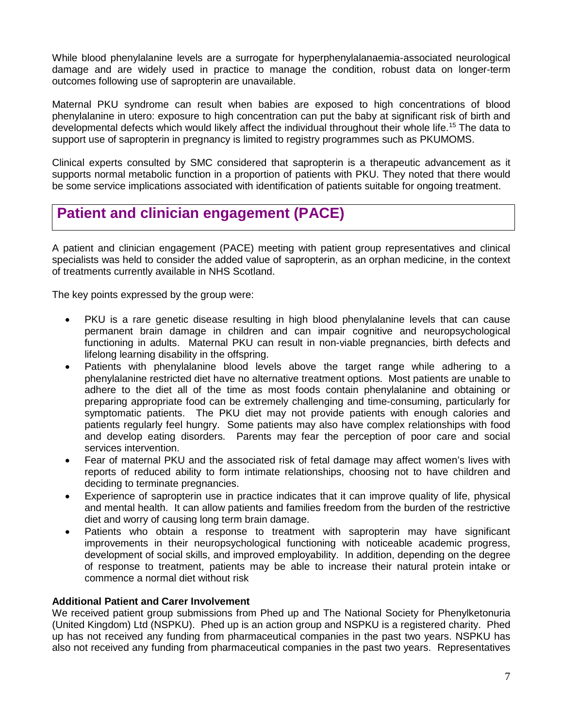While blood phenylalanine levels are a surrogate for hyperphenylalanaemia-associated neurological damage and are widely used in practice to manage the condition, robust data on longer-term outcomes following use of sapropterin are unavailable.

Maternal PKU syndrome can result when babies are exposed to high concentrations of blood phenylalanine in utero: exposure to high concentration can put the baby at significant risk of birth and developmental defects which would likely affect the individual throughout their whole life. <sup>15</sup> The data to support use of sapropterin in pregnancy is limited to registry programmes such as PKUMOMS.

Clinical experts consulted by SMC considered that sapropterin is a therapeutic advancement as it supports normal metabolic function in a proportion of patients with PKU. They noted that there would be some service implications associated with identification of patients suitable for ongoing treatment.

## **Patient and clinician engagement (PACE)**

A patient and clinician engagement (PACE) meeting with patient group representatives and clinical specialists was held to consider the added value of sapropterin, as an orphan medicine, in the context of treatments currently available in NHS Scotland.

The key points expressed by the group were:

- PKU is a rare genetic disease resulting in high blood phenylalanine levels that can cause permanent brain damage in children and can impair cognitive and neuropsychological functioning in adults. Maternal PKU can result in non-viable pregnancies, birth defects and lifelong learning disability in the offspring.
- Patients with phenylalanine blood levels above the target range while adhering to a phenylalanine restricted diet have no alternative treatment options. Most patients are unable to adhere to the diet all of the time as most foods contain phenylalanine and obtaining or preparing appropriate food can be extremely challenging and time-consuming, particularly for symptomatic patients. The PKU diet may not provide patients with enough calories and patients regularly feel hungry. Some patients may also have complex relationships with food and develop eating disorders. Parents may fear the perception of poor care and social services intervention.
- Fear of maternal PKU and the associated risk of fetal damage may affect women's lives with reports of reduced ability to form intimate relationships, choosing not to have children and deciding to terminate pregnancies.
- Experience of sapropterin use in practice indicates that it can improve quality of life, physical and mental health. It can allow patients and families freedom from the burden of the restrictive diet and worry of causing long term brain damage.
- Patients who obtain a response to treatment with sapropterin may have significant improvements in their neuropsychological functioning with noticeable academic progress, development of social skills, and improved employability. In addition, depending on the degree of response to treatment, patients may be able to increase their natural protein intake or commence a normal diet without risk

#### **Additional Patient and Carer Involvement**

We received patient group submissions from Phed up and The National Society for Phenylketonuria (United Kingdom) Ltd (NSPKU). Phed up is an action group and NSPKU is a registered charity. Phed up has not received any funding from pharmaceutical companies in the past two years. NSPKU has also not received any funding from pharmaceutical companies in the past two years. Representatives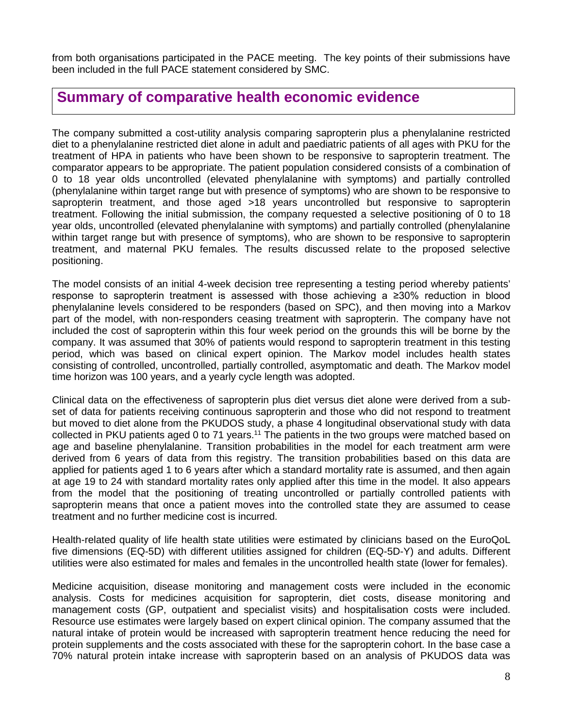from both organisations participated in the PACE meeting. The key points of their submissions have been included in the full PACE statement considered by SMC.

## **Summary of comparative health economic evidence**

The company submitted a cost-utility analysis comparing sapropterin plus a phenylalanine restricted diet to a phenylalanine restricted diet alone in adult and paediatric patients of all ages with PKU for the treatment of HPA in patients who have been shown to be responsive to sapropterin treatment. The comparator appears to be appropriate. The patient population considered consists of a combination of 0 to 18 year olds uncontrolled (elevated phenylalanine with symptoms) and partially controlled (phenylalanine within target range but with presence of symptoms) who are shown to be responsive to sapropterin treatment, and those aged >18 years uncontrolled but responsive to sapropterin treatment. Following the initial submission, the company requested a selective positioning of 0 to 18 year olds, uncontrolled (elevated phenylalanine with symptoms) and partially controlled (phenylalanine within target range but with presence of symptoms), who are shown to be responsive to sapropterin treatment, and maternal PKU females. The results discussed relate to the proposed selective positioning.

The model consists of an initial 4-week decision tree representing a testing period whereby patients' response to sapropterin treatment is assessed with those achieving a ≥30% reduction in blood phenylalanine levels considered to be responders (based on SPC), and then moving into a Markov part of the model, with non-responders ceasing treatment with sapropterin. The company have not included the cost of sapropterin within this four week period on the grounds this will be borne by the company. It was assumed that 30% of patients would respond to sapropterin treatment in this testing period, which was based on clinical expert opinion. The Markov model includes health states consisting of controlled, uncontrolled, partially controlled, asymptomatic and death. The Markov model time horizon was 100 years, and a yearly cycle length was adopted.

Clinical data on the effectiveness of sapropterin plus diet versus diet alone were derived from a subset of data for patients receiving continuous sapropterin and those who did not respond to treatment but moved to diet alone from the PKUDOS study, a phase 4 longitudinal observational study with data collected in PKU patients aged 0 to 71 years.<sup>11</sup> The patients in the two groups were matched based on age and baseline phenylalanine. Transition probabilities in the model for each treatment arm were derived from 6 years of data from this registry. The transition probabilities based on this data are applied for patients aged 1 to 6 years after which a standard mortality rate is assumed, and then again at age 19 to 24 with standard mortality rates only applied after this time in the model. It also appears from the model that the positioning of treating uncontrolled or partially controlled patients with sapropterin means that once a patient moves into the controlled state they are assumed to cease treatment and no further medicine cost is incurred.

Health-related quality of life health state utilities were estimated by clinicians based on the EuroQoL five dimensions (EQ-5D) with different utilities assigned for children (EQ-5D-Y) and adults. Different utilities were also estimated for males and females in the uncontrolled health state (lower for females).

Medicine acquisition, disease monitoring and management costs were included in the economic analysis. Costs for medicines acquisition for sapropterin, diet costs, disease monitoring and management costs (GP, outpatient and specialist visits) and hospitalisation costs were included. Resource use estimates were largely based on expert clinical opinion. The company assumed that the natural intake of protein would be increased with sapropterin treatment hence reducing the need for protein supplements and the costs associated with these for the sapropterin cohort. In the base case a 70% natural protein intake increase with sapropterin based on an analysis of PKUDOS data was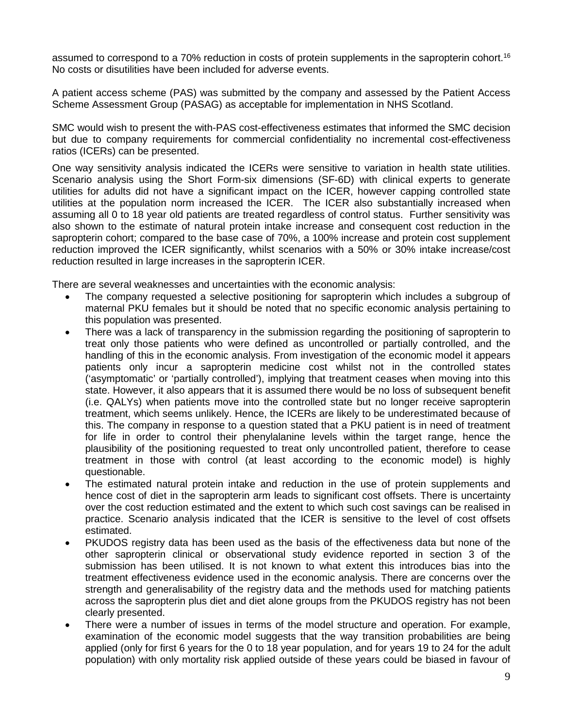assumed to correspond to a 70% reduction in costs of protein supplements in the sapropterin cohort. 16 No costs or disutilities have been included for adverse events.

A patient access scheme (PAS) was submitted by the company and assessed by the Patient Access Scheme Assessment Group (PASAG) as acceptable for implementation in NHS Scotland.

SMC would wish to present the with-PAS cost-effectiveness estimates that informed the SMC decision but due to company requirements for commercial confidentiality no incremental cost-effectiveness ratios (ICERs) can be presented.

One way sensitivity analysis indicated the ICERs were sensitive to variation in health state utilities. Scenario analysis using the Short Form-six dimensions (SF-6D) with clinical experts to generate utilities for adults did not have a significant impact on the ICER, however capping controlled state utilities at the population norm increased the ICER. The ICER also substantially increased when assuming all 0 to 18 year old patients are treated regardless of control status. Further sensitivity was also shown to the estimate of natural protein intake increase and consequent cost reduction in the sapropterin cohort; compared to the base case of 70%, a 100% increase and protein cost supplement reduction improved the ICER significantly, whilst scenarios with a 50% or 30% intake increase/cost reduction resulted in large increases in the sapropterin ICER.

There are several weaknesses and uncertainties with the economic analysis:

- The company requested a selective positioning for sapropterin which includes a subgroup of maternal PKU females but it should be noted that no specific economic analysis pertaining to this population was presented.
- There was a lack of transparency in the submission regarding the positioning of sapropterin to treat only those patients who were defined as uncontrolled or partially controlled, and the handling of this in the economic analysis. From investigation of the economic model it appears patients only incur a sapropterin medicine cost whilst not in the controlled states ('asymptomatic' or 'partially controlled'), implying that treatment ceases when moving into this state. However, it also appears that it is assumed there would be no loss of subsequent benefit (i.e. QALYs) when patients move into the controlled state but no longer receive sapropterin treatment, which seems unlikely. Hence, the ICERs are likely to be underestimated because of this. The company in response to a question stated that a PKU patient is in need of treatment for life in order to control their phenylalanine levels within the target range, hence the plausibility of the positioning requested to treat only uncontrolled patient, therefore to cease treatment in those with control (at least according to the economic model) is highly questionable.
- The estimated natural protein intake and reduction in the use of protein supplements and hence cost of diet in the sapropterin arm leads to significant cost offsets. There is uncertainty over the cost reduction estimated and the extent to which such cost savings can be realised in practice. Scenario analysis indicated that the ICER is sensitive to the level of cost offsets estimated.
- PKUDOS registry data has been used as the basis of the effectiveness data but none of the other sapropterin clinical or observational study evidence reported in section 3 of the submission has been utilised. It is not known to what extent this introduces bias into the treatment effectiveness evidence used in the economic analysis. There are concerns over the strength and generalisability of the registry data and the methods used for matching patients across the sapropterin plus diet and diet alone groups from the PKUDOS registry has not been clearly presented.
- There were a number of issues in terms of the model structure and operation. For example, examination of the economic model suggests that the way transition probabilities are being applied (only for first 6 years for the 0 to 18 year population, and for years 19 to 24 for the adult population) with only mortality risk applied outside of these years could be biased in favour of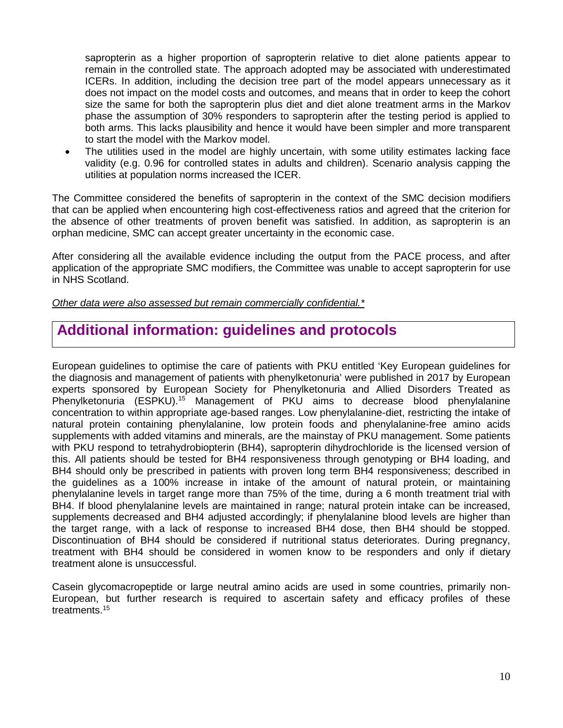sapropterin as a higher proportion of sapropterin relative to diet alone patients appear to remain in the controlled state. The approach adopted may be associated with underestimated ICERs. In addition, including the decision tree part of the model appears unnecessary as it does not impact on the model costs and outcomes, and means that in order to keep the cohort size the same for both the sapropterin plus diet and diet alone treatment arms in the Markov phase the assumption of 30% responders to sapropterin after the testing period is applied to both arms. This lacks plausibility and hence it would have been simpler and more transparent to start the model with the Markov model.

The utilities used in the model are highly uncertain, with some utility estimates lacking face validity (e.g. 0.96 for controlled states in adults and children). Scenario analysis capping the utilities at population norms increased the ICER.

The Committee considered the benefits of sapropterin in the context of the SMC decision modifiers that can be applied when encountering high cost-effectiveness ratios and agreed that the criterion for the absence of other treatments of proven benefit was satisfied. In addition, as sapropterin is an orphan medicine, SMC can accept greater uncertainty in the economic case.

After considering all the available evidence including the output from the PACE process, and after application of the appropriate SMC modifiers, the Committee was unable to accept sapropterin for use in NHS Scotland.

*Other data were also assessed but remain commercially confidential.\**

# **Additional information: guidelines and protocols**

European guidelines to optimise the care of patients with PKU entitled 'Key European guidelines for the diagnosis and management of patients with phenylketonuria' were published in 2017 by European experts sponsored by European Society for Phenylketonuria and Allied Disorders Treated as Phenylketonuria (ESPKU).<sup>15</sup> Management of PKU aims to decrease blood phenylalanine concentration to within appropriate age-based ranges. Low phenylalanine-diet, restricting the intake of natural protein containing phenylalanine, low protein foods and phenylalanine-free amino acids supplements with added vitamins and minerals, are the mainstay of PKU management. Some patients with PKU respond to tetrahydrobiopterin (BH4), sapropterin dihydrochloride is the licensed version of this. All patients should be tested for BH4 responsiveness through genotyping or BH4 loading, and BH4 should only be prescribed in patients with proven long term BH4 responsiveness; described in the guidelines as a 100% increase in intake of the amount of natural protein, or maintaining phenylalanine levels in target range more than 75% of the time, during a 6 month treatment trial with BH4. If blood phenylalanine levels are maintained in range; natural protein intake can be increased, supplements decreased and BH4 adjusted accordingly; if phenylalanine blood levels are higher than the target range, with a lack of response to increased BH4 dose, then BH4 should be stopped. Discontinuation of BH4 should be considered if nutritional status deteriorates. During pregnancy, treatment with BH4 should be considered in women know to be responders and only if dietary treatment alone is unsuccessful.

Casein glycomacropeptide or large neutral amino acids are used in some countries, primarily non-European, but further research is required to ascertain safety and efficacy profiles of these treatments.15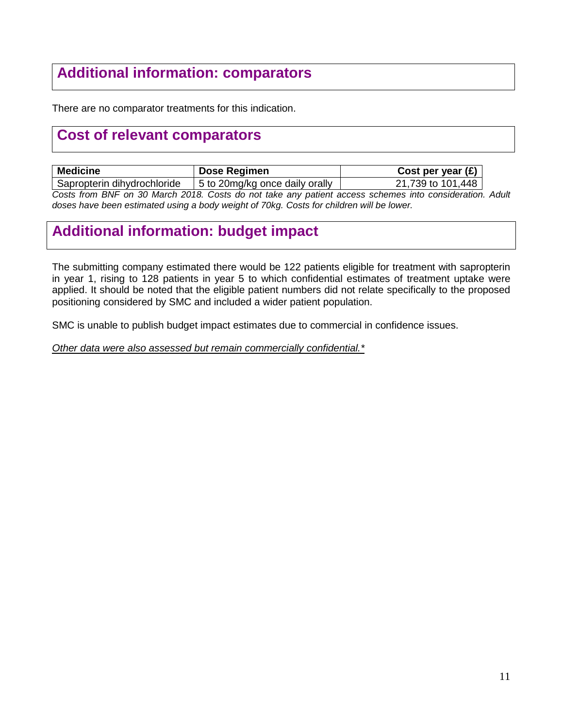# **Additional information: comparators**

There are no comparator treatments for this indication.

## **Cost of relevant comparators**

| <b>Medicine</b>                                                                                     | Dose Regimen                   | Cost per year $(E)$ |  |
|-----------------------------------------------------------------------------------------------------|--------------------------------|---------------------|--|
| Sapropterin dihydrochloride                                                                         | 5 to 20mg/kg once daily orally | 21,739 to 101,448   |  |
| Coata from DNF on 20 March 2010, Coata de not take ony potiont access sabomes into consideration. A |                                |                     |  |

*Costs from BNF on 30 March 2018. Costs do not take any patient access schemes into consideration. Adult doses have been estimated using a body weight of 70kg. Costs for children will be lower.*

## **Additional information: budget impact**

The submitting company estimated there would be 122 patients eligible for treatment with sapropterin in year 1, rising to 128 patients in year 5 to which confidential estimates of treatment uptake were applied. It should be noted that the eligible patient numbers did not relate specifically to the proposed positioning considered by SMC and included a wider patient population.

SMC is unable to publish budget impact estimates due to commercial in confidence issues.

*Other data were also assessed but remain commercially confidential.\**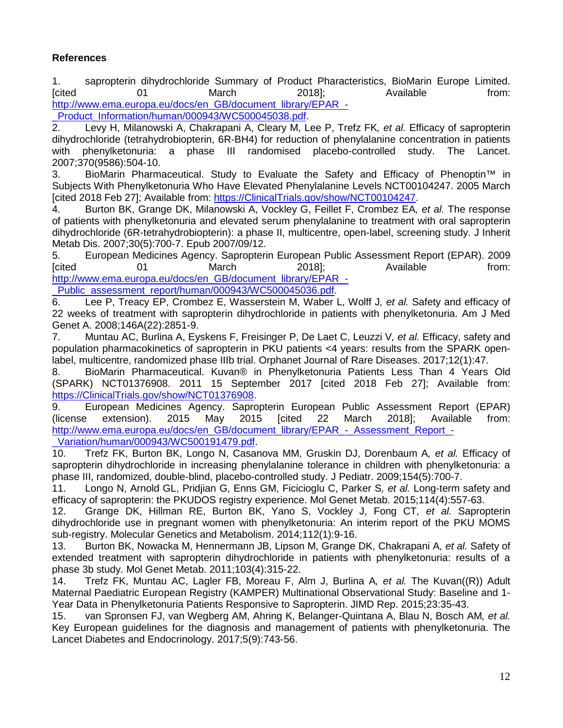#### **References**

1. sapropterin dihydrochloride Summary of Product Pharacteristics, BioMarin Europe Limited. [cited 01 March 2018]; Available from: [http://www.ema.europa.eu/docs/en\\_GB/document\\_library/EPAR\\_-](http://www.ema.europa.eu/docs/en_GB/document_library/EPAR_-_Product_Information/human/000943/WC500045038.pdf)

Product\_Information/human/000943/WC500045038.pdf.<br>2. Levy H. Milanowski A. Chakrapani A. Cleary M. L 2. Levy H, Milanowski A, Chakrapani A, Cleary M, Lee P, Trefz FK*, et al.* Efficacy of sapropterin dihydrochloride (tetrahydrobiopterin, 6R-BH4) for reduction of phenylalanine concentration in patients with phenylketonuria: a phase III randomised placebo-controlled study. The Lancet. 2007;370(9586):504-10.

3. BioMarin Pharmaceutical. Study to Evaluate the Safety and Efficacy of Phenoptin™ in Subjects With Phenylketonuria Who Have Elevated Phenylalanine Levels NCT00104247. 2005 March [cited 2018 Feb 27]; Available from: [https://ClinicalTrials.gov/show/NCT00104247.](https://clinicaltrials.gov/show/NCT00104247)

4. Burton BK, Grange DK, Milanowski A, Vockley G, Feillet F, Crombez EA*, et al.* The response of patients with phenylketonuria and elevated serum phenylalanine to treatment with oral sapropterin dihydrochloride (6R-tetrahydrobiopterin): a phase II, multicentre, open-label, screening study. J Inherit Metab Dis. 2007;30(5):700-7. Epub 2007/09/12.

5. European Medicines Agency. Sapropterin European Public Assessment Report (EPAR). 2009<br>
From: 2018] https://www.edu.com/state/discussion.com/state/discussion.com/ [cited 01 March 2018]; Available from: [http://www.ema.europa.eu/docs/en\\_GB/document\\_library/EPAR\\_-](http://www.ema.europa.eu/docs/en_GB/document_library/EPAR_-_Public_assessment_report/human/000943/WC500045036.pdf) Public\_assessment\_report/human/000943/WC500045036.pdf.

6. Lee P, Treacy EP, Crombez E, Wasserstein M, Waber L, Wolff J*, et al.* Safety and efficacy of 22 weeks of treatment with sapropterin dihydrochloride in patients with phenylketonuria. Am J Med Genet A. 2008;146A(22):2851-9.

7. Muntau AC, Burlina A, Eyskens F, Freisinger P, De Laet C, Leuzzi V*, et al.* Efficacy, safety and population pharmacokinetics of sapropterin in PKU patients <4 years: results from the SPARK openlabel, multicentre, randomized phase IIIb trial. Orphanet Journal of Rare Diseases. 2017;12(1):47.

8. BioMarin Pharmaceutical. Kuvan® in Phenylketonuria Patients Less Than 4 Years Old (SPARK) NCT01376908. 2011 15 September 2017 [cited 2018 Feb 27]; Available from: [https://ClinicalTrials.gov/show/NCT01376908.](https://clinicaltrials.gov/show/NCT01376908)<br>9. European Medicines Agency. Sapro

9. European Medicines Agency. Sapropterin European Public Assessment Report (EPAR) (license extension). 2015 May 2015 [cited 22 March 2018]; Available from: [http://www.ema.europa.eu/docs/en\\_GB/document\\_library/EPAR\\_-\\_Assessment\\_Report\\_-](http://www.ema.europa.eu/docs/en_GB/document_library/EPAR_-_Assessment_Report_-_Variation/human/000943/WC500191479.pdf) [\\_Variation/human/000943/WC500191479.pdf.](http://www.ema.europa.eu/docs/en_GB/document_library/EPAR_-_Assessment_Report_-_Variation/human/000943/WC500191479.pdf)

10. Trefz FK, Burton BK, Longo N, Casanova MM, Gruskin DJ, Dorenbaum A*, et al.* Efficacy of sapropterin dihydrochloride in increasing phenylalanine tolerance in children with phenylketonuria: a phase III, randomized, double-blind, placebo-controlled study. J Pediatr. 2009;154(5):700-7.

11. Longo N, Arnold GL, Pridjian G, Enns GM, Ficicioglu C, Parker S*, et al.* Long-term safety and efficacy of sapropterin: the PKUDOS registry experience. Mol Genet Metab. 2015;114(4):557-63.

12. Grange DK, Hillman RE, Burton BK, Yano S, Vockley J, Fong CT*, et al.* Sapropterin dihydrochloride use in pregnant women with phenylketonuria: An interim report of the PKU MOMS sub-registry. Molecular Genetics and Metabolism. 2014;112(1):9-16.

13. Burton BK, Nowacka M, Hennermann JB, Lipson M, Grange DK, Chakrapani A*, et al.* Safety of extended treatment with sapropterin dihydrochloride in patients with phenylketonuria: results of a phase 3b study. Mol Genet Metab. 2011;103(4):315-22.

14. Trefz FK, Muntau AC, Lagler FB, Moreau F, Alm J, Burlina A*, et al.* The Kuvan((R)) Adult Maternal Paediatric European Registry (KAMPER) Multinational Observational Study: Baseline and 1- Year Data in Phenylketonuria Patients Responsive to Sapropterin. JIMD Rep. 2015;23:35-43.

15. van Spronsen FJ, van Wegberg AM, Ahring K, Belanger-Quintana A, Blau N, Bosch AM*, et al.* Key European guidelines for the diagnosis and management of patients with phenylketonuria. The Lancet Diabetes and Endocrinology. 2017;5(9):743-56.